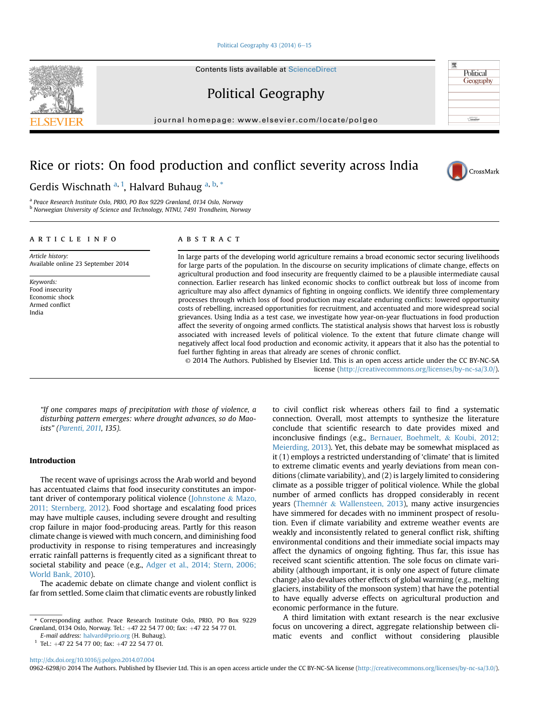### [Political Geography 43 \(2014\) 6](http://dx.doi.org/10.1016/j.polgeo.2014.07.004)-[15](http://dx.doi.org/10.1016/j.polgeo.2014.07.004)

Contents lists available at ScienceDirect

Political Geography

journal homepage: [www.elsevier.com/locate/polgeo](http://www.elsevier.com/locate/polgeo)

0962-6298/© 2014 The Authors. Published by Elsevier Ltd. This is an open access article under the CC BY-NC-SA license [\(http://creativecommons.org/licenses/by-nc-sa/3.0/\)](http://creativecommons.org/licenses/by-nc-sa/3.0/).

# Rice or riots: On food production and conflict severity across India

# article info

Article history:

Keywords: Food insecurity Economic shock Armed conflict India

ABSTRACT

In large parts of the developing world agriculture remains a broad economic sector securing livelihoods for large parts of the population. In the discourse on security implications of climate change, effects on agricultural production and food insecurity are frequently claimed to be a plausible intermediate causal connection. Earlier research has linked economic shocks to conflict outbreak but loss of income from agriculture may also affect dynamics of fighting in ongoing conflicts. We identify three complementary processes through which loss of food production may escalate enduring conflicts: lowered opportunity costs of rebelling, increased opportunities for recruitment, and accentuated and more widespread social grievances. Using India as a test case, we investigate how year-on-year fluctuations in food production affect the severity of ongoing armed conflicts. The statistical analysis shows that harvest loss is robustly associated with increased levels of political violence. To the extent that future climate change will negatively affect local food production and economic activity, it appears that it also has the potential to fuel further fighting in areas that already are scenes of chronic conflict.

license [\(http://creativecommons.org/licenses/by-nc-sa/3.0/](http://creativecommons.org/licenses/by-nc-sa/3.0/)).

"If one compares maps of precipitation with those of violence, a disturbing pattern emerges: where drought advances, so do Maoists" ([Parenti, 2011,](#page-9-0) 135).

# Introduction

The recent wave of uprisings across the Arab world and beyond has accentuated claims that food insecurity constitutes an important driver of contemporary political violence ([Johnstone](#page-8-0) & [Mazo,](#page-8-0) [2011; Sternberg, 2012](#page-8-0)). Food shortage and escalating food prices may have multiple causes, including severe drought and resulting crop failure in major food-producing areas. Partly for this reason climate change is viewed with much concern, and diminishing food productivity in response to rising temperatures and increasingly erratic rainfall patterns is frequently cited as a significant threat to societal stability and peace (e.g., [Adger et al., 2014; Stern, 2006;](#page-8-0) [World Bank, 2010](#page-8-0)).

The academic debate on climate change and violent conflict is far from settled. Some claim that climatic events are robustly linked to civil conflict risk whereas others fail to find a systematic connection. Overall, most attempts to synthesize the literature conclude that scientific research to date provides mixed and inconclusive findings (e.g., [Bernauer, Boehmelt,](#page-8-0) & [Koubi, 2012;](#page-8-0) [Meierding, 2013](#page-8-0)). Yet, this debate may be somewhat misplaced as it (1) employs a restricted understanding of 'climate' that is limited to extreme climatic events and yearly deviations from mean conditions (climate variability), and (2) is largely limited to considering climate as a possible trigger of political violence. While the global number of armed conflicts has dropped considerably in recent years (Themnér & [Wallensteen, 2013\)](#page-9-0), many active insurgencies have simmered for decades with no imminent prospect of resolution. Even if climate variability and extreme weather events are weakly and inconsistently related to general conflict risk, shifting environmental conditions and their immediate social impacts may affect the dynamics of ongoing fighting. Thus far, this issue has received scant scientific attention. The sole focus on climate variability (although important, it is only one aspect of future climate change) also devalues other effects of global warming (e.g., melting glaciers, instability of the monsoon system) that have the potential to have equally adverse effects on agricultural production and economic performance in the future.

A third limitation with extant research is the near exclusive focus on uncovering a direct, aggregate relationship between climatic events and conflict without considering plausible

<http://dx.doi.org/10.1016/j.polgeo.2014.07.004>

Gerdis Wischnath <sup>a, 1</sup>, Halvard Buhaug <sup>a, b, \*</sup>

<sup>a</sup> Peace Research Institute Oslo, PRIO, PO Box 9229 Grønland, 0134 Oslo, Norway <sup>b</sup> Norwegian University of Science and Technology, NTNU, 7491 Trondheim, Norway

Available online 23 September 2014

© 2014 The Authors. Published by Elsevier Ltd. This is an open access article under the CC BY-NC-SA





度

Political Geography

<sup>\*</sup> Corresponding author. Peace Research Institute Oslo, PRIO, PO Box 9229 Grønland, 0134 Oslo, Norway. Tel.: +47 22 54 77 00; fax: +47 22 54 77 01.

E-mail address: [halvard@prio.org](mailto:halvard@prio.org) (H. Buhaug).

 $1$  Tel.:  $+47$  22 54 77 00; fax:  $+47$  22 54 77 01.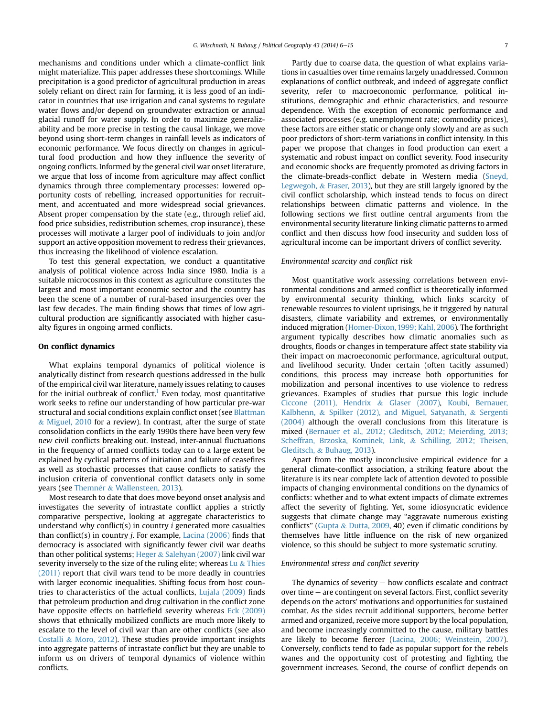mechanisms and conditions under which a climate-conflict link might materialize. This paper addresses these shortcomings. While precipitation is a good predictor of agricultural production in areas solely reliant on direct rain for farming, it is less good of an indicator in countries that use irrigation and canal systems to regulate water flows and/or depend on groundwater extraction or annual glacial runoff for water supply. In order to maximize generalizability and be more precise in testing the causal linkage, we move beyond using short-term changes in rainfall levels as indicators of economic performance. We focus directly on changes in agricultural food production and how they influence the severity of ongoing conflicts. Informed by the general civil war onset literature, we argue that loss of income from agriculture may affect conflict dynamics through three complementary processes: lowered opportunity costs of rebelling, increased opportunities for recruitment, and accentuated and more widespread social grievances. Absent proper compensation by the state (e.g., through relief aid, food price subsidies, redistribution schemes, crop insurance), these processes will motivate a larger pool of individuals to join and/or support an active opposition movement to redress their grievances, thus increasing the likelihood of violence escalation.

To test this general expectation, we conduct a quantitative analysis of political violence across India since 1980. India is a suitable microcosmos in this context as agriculture constitutes the largest and most important economic sector and the country has been the scene of a number of rural-based insurgencies over the last few decades. The main finding shows that times of low agricultural production are significantly associated with higher casualty figures in ongoing armed conflicts.

# On conflict dynamics

What explains temporal dynamics of political violence is analytically distinct from research questions addressed in the bulk of the empirical civil war literature, namely issues relating to causes for the initial outbreak of conflict.<sup>1</sup> Even today, most quantitative work seeks to refine our understanding of how particular pre-war structural and social conditions explain conflict onset (see [Blattman](#page-8-0) & [Miguel, 2010](#page-8-0) for a review). In contrast, after the surge of state consolidation conflicts in the early 1990s there have been very few new civil conflicts breaking out. Instead, inter-annual fluctuations in the frequency of armed conflicts today can to a large extent be explained by cyclical patterns of initiation and failure of ceasefires as well as stochastic processes that cause conflicts to satisfy the inclusion criteria of conventional conflict datasets only in some years (see Themnér & [Wallensteen, 2013](#page-9-0)).

Most research to date that does move beyond onset analysis and investigates the severity of intrastate conflict applies a strictly comparative perspective, looking at aggregate characteristics to understand why conflict(s) in country i generated more casualties than conflict(s) in country *j*. For example, Lacina  $(2006)$  finds that democracy is associated with significantly fewer civil war deaths than other political systems; [Heger](#page-8-0) & Salehyan  $(2007)$  link civil war severity inversely to the size of the ruling elite; whereas [Lu](#page-8-0)  $\&$  [Thies](#page-8-0) [\(2011\)](#page-8-0) report that civil wars tend to be more deadly in countries with larger economic inequalities. Shifting focus from host countries to characteristics of the actual conflicts, [Lujala \(2009\)](#page-8-0) finds that petroleum production and drug cultivation in the conflict zone have opposite effects on battlefield severity whereas [Eck \(2009\)](#page-8-0) shows that ethnically mobilized conflicts are much more likely to escalate to the level of civil war than are other conflicts (see also [Costalli](#page-8-0) & [Moro, 2012\)](#page-8-0). These studies provide important insights into aggregate patterns of intrastate conflict but they are unable to inform us on drivers of temporal dynamics of violence within conflicts.

Partly due to coarse data, the question of what explains variations in casualties over time remains largely unaddressed. Common explanations of conflict outbreak, and indeed of aggregate conflict severity, refer to macroeconomic performance, political institutions, demographic and ethnic characteristics, and resource dependence. With the exception of economic performance and associated processes (e.g. unemployment rate; commodity prices), these factors are either static or change only slowly and are as such poor predictors of short-term variations in conflict intensity. In this paper we propose that changes in food production can exert a systematic and robust impact on conflict severity. Food insecurity and economic shocks are frequently promoted as driving factors in the climate-breads-conflict debate in Western media ([Sneyd,](#page-9-0) [Legwegoh,](#page-9-0) & [Fraser, 2013](#page-9-0)), but they are still largely ignored by the civil conflict scholarship, which instead tends to focus on direct relationships between climatic patterns and violence. In the following sections we first outline central arguments from the environmental security literature linking climatic patterns to armed conflict and then discuss how food insecurity and sudden loss of agricultural income can be important drivers of conflict severity.

#### Environmental scarcity and conflict risk

Most quantitative work assessing correlations between environmental conditions and armed conflict is theoretically informed by environmental security thinking, which links scarcity of renewable resources to violent uprisings, be it triggered by natural disasters, climate variability and extremes, or environmentally induced migration ([Homer-Dixon, 1999; Kahl, 2006](#page-8-0)). The forthright argument typically describes how climatic anomalies such as droughts, floods or changes in temperature affect state stability via their impact on macroeconomic performance, agricultural output, and livelihood security. Under certain (often tacitly assumed) conditions, this process may increase both opportunities for mobilization and personal incentives to use violence to redress grievances. Examples of studies that pursue this logic include [Ciccone \(2011\), Hendrix](#page-8-0) & [Glaser \(2007\)](#page-8-0), [Koubi, Bernauer,](#page-8-0) [Kalbhenn,](#page-8-0) & [Spilker \(2012\), and Miguel, Satyanath,](#page-8-0) & [Sergenti](#page-8-0) [\(2004\)](#page-8-0) although the overall conclusions from this literature is mixed [\(Bernauer et al., 2012; Gleditsch, 2012; Meierding, 2013;](#page-8-0) [Scheffran, Brzoska, Kominek, Link,](#page-8-0) & [Schilling, 2012; Theisen,](#page-8-0) [Gleditsch,](#page-8-0) & [Buhaug, 2013](#page-8-0)).

Apart from the mostly inconclusive empirical evidence for a general climate-conflict association, a striking feature about the literature is its near complete lack of attention devoted to possible impacts of changing environmental conditions on the dynamics of conflicts: whether and to what extent impacts of climate extremes affect the severity of fighting. Yet, some idiosyncratic evidence suggests that climate change may "aggravate numerous existing conflicts" [\(Gupta](#page-8-0) & [Dutta, 2009](#page-8-0), 40) even if climatic conditions by themselves have little influence on the risk of new organized violence, so this should be subject to more systematic scrutiny.

### Environmental stress and conflict severity

The dynamics of severity  $-$  how conflicts escalate and contract over time  $-$  are contingent on several factors. First, conflict severity depends on the actors' motivations and opportunities for sustained combat. As the sides recruit additional supporters, become better armed and organized, receive more support by the local population, and become increasingly committed to the cause, military battles are likely to become fiercer ([Lacina, 2006; Weinstein, 2007\)](#page-8-0). Conversely, conflicts tend to fade as popular support for the rebels wanes and the opportunity cost of protesting and fighting the government increases. Second, the course of conflict depends on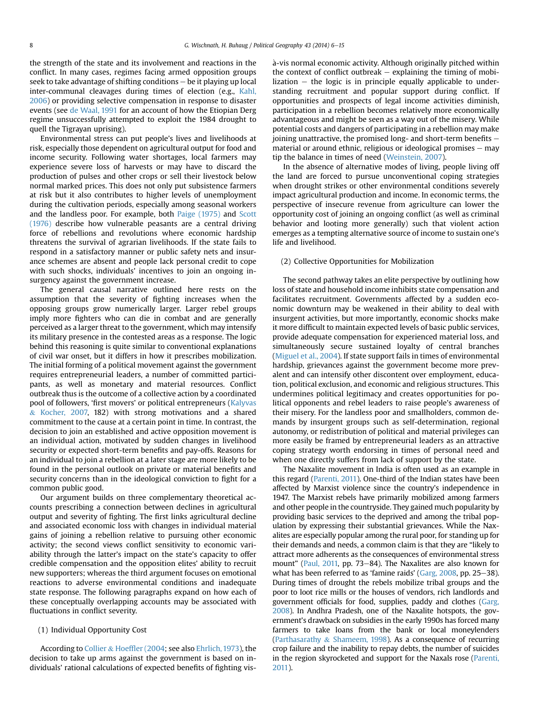the strength of the state and its involvement and reactions in the conflict. In many cases, regimes facing armed opposition groups seek to take advantage of shifting conditions  $-$  be it playing up local inter-communal cleavages during times of election (e.g., [Kahl,](#page-8-0) [2006](#page-8-0)) or providing selective compensation in response to disaster events (see [de Waal, 1991](#page-9-0) for an account of how the Etiopian Derg regime unsuccessfully attempted to exploit the 1984 drought to quell the Tigrayan uprising).

Environmental stress can put people's lives and livelihoods at risk, especially those dependent on agricultural output for food and income security. Following water shortages, local farmers may experience severe loss of harvests or may have to discard the production of pulses and other crops or sell their livestock below normal marked prices. This does not only put subsistence farmers at risk but it also contributes to higher levels of unemployment during the cultivation periods, especially among seasonal workers and the landless poor. For example, both [Paige \(1975\)](#page-8-0) and [Scott](#page-9-0) [\(1976\)](#page-9-0) describe how vulnerable peasants are a central driving force of rebellions and revolutions where economic hardship threatens the survival of agrarian livelihoods. If the state fails to respond in a satisfactory manner or public safety nets and insurance schemes are absent and people lack personal credit to cope with such shocks, individuals' incentives to join an ongoing insurgency against the government increase.

The general causal narrative outlined here rests on the assumption that the severity of fighting increases when the opposing groups grow numerically larger. Larger rebel groups imply more fighters who can die in combat and are generally perceived as a larger threat to the government, which may intensify its military presence in the contested areas as a response. The logic behind this reasoning is quite similar to conventional explanations of civil war onset, but it differs in how it prescribes mobilization. The initial forming of a political movement against the government requires entrepreneurial leaders, a number of committed participants, as well as monetary and material resources. Conflict outbreak thus is the outcome of a collective action by a coordinated pool of followers, 'first movers' or political entrepreneurs [\(Kalyvas](#page-8-0) & [Kocher, 2007,](#page-8-0) 182) with strong motivations and a shared commitment to the cause at a certain point in time. In contrast, the decision to join an established and active opposition movement is an individual action, motivated by sudden changes in livelihood security or expected short-term benefits and pay-offs. Reasons for an individual to join a rebellion at a later stage are more likely to be found in the personal outlook on private or material benefits and security concerns than in the ideological conviction to fight for a common public good.

Our argument builds on three complementary theoretical accounts prescribing a connection between declines in agricultural output and severity of fighting. The first links agricultural decline and associated economic loss with changes in individual material gains of joining a rebellion relative to pursuing other economic activity; the second views conflict sensitivity to economic variability through the latter's impact on the state's capacity to offer credible compensation and the opposition elites' ability to recruit new supporters; whereas the third argument focuses on emotional reactions to adverse environmental conditions and inadequate state response. The following paragraphs expand on how each of these conceptually overlapping accounts may be associated with fluctuations in conflict severity.

# (1) Individual Opportunity Cost

According to [Collier](#page-8-0) & Hoeffl[er \(2004](#page-8-0); see also [Ehrlich, 1973\)](#page-8-0), the decision to take up arms against the government is based on individuals' rational calculations of expected benefits of fighting vis-

 a-vis normal economic activity. Although originally pitched within the context of conflict outbreak  $-$  explaining the timing of mobilization  $-$  the logic is in principle equally applicable to understanding recruitment and popular support during conflict. If opportunities and prospects of legal income activities diminish, participation in a rebellion becomes relatively more economically advantageous and might be seen as a way out of the misery. While potential costs and dangers of participating in a rebellion may make joining unattractive, the promised long- and short-term benefits  $$ material or around ethnic, religious or ideological promises  $-$  may tip the balance in times of need ([Weinstein, 2007\)](#page-9-0).

In the absence of alternative modes of living, people living off the land are forced to pursue unconventional coping strategies when drought strikes or other environmental conditions severely impact agricultural production and income. In economic terms, the perspective of insecure revenue from agriculture can lower the opportunity cost of joining an ongoing conflict (as well as criminal behavior and looting more generally) such that violent action emerges as a tempting alternative source of income to sustain one's life and livelihood.

# (2) Collective Opportunities for Mobilization

The second pathway takes an elite perspective by outlining how loss of state and household income inhibits state compensation and facilitates recruitment. Governments affected by a sudden economic downturn may be weakened in their ability to deal with insurgent activities, but more importantly, economic shocks make it more difficult to maintain expected levels of basic public services, provide adequate compensation for experienced material loss, and simultaneously secure sustained loyalty of central branches ([Miguel et al., 2004\)](#page-8-0). If state support fails in times of environmental hardship, grievances against the government become more prevalent and can intensify other discontent over employment, education, political exclusion, and economic and religious structures. This undermines political legitimacy and creates opportunities for political opponents and rebel leaders to raise people's awareness of their misery. For the landless poor and smallholders, common demands by insurgent groups such as self-determination, regional autonomy, or redistribution of political and material privileges can more easily be framed by entrepreneurial leaders as an attractive coping strategy worth endorsing in times of personal need and when one directly suffers from lack of support by the state.

The Naxalite movement in India is often used as an example in this regard [\(Parenti, 2011](#page-9-0)). One-third of the Indian states have been affected by Marxist violence since the country's independence in 1947. The Marxist rebels have primarily mobilized among farmers and other people in the countryside. They gained much popularity by providing basic services to the deprived and among the tribal population by expressing their substantial grievances. While the Naxalites are especially popular among the rural poor, for standing up for their demands and needs, a common claim is that they are "likely to attract more adherents as the consequences of environmental stress mount" [\(Paul, 2011,](#page-9-0) pp. 73–84). The Naxalites are also known for what has been referred to as 'famine raids' ( $Garg$ , 2008, pp. 25–38). During times of drought the rebels mobilize tribal groups and the poor to loot rice mills or the houses of vendors, rich landlords and government officials for food, supplies, paddy and clothes [\(Garg,](#page-8-0) [2008\)](#page-8-0). In Andhra Pradesh, one of the Naxalite hotspots, the government's drawback on subsidies in the early 1990s has forced many farmers to take loans from the bank or local moneylenders ([Parthasarathy](#page-9-0) & [Shameem, 1998\)](#page-9-0). As a consequence of recurring crop failure and the inability to repay debts, the number of suicides in the region skyrocketed and support for the Naxals rose ([Parenti,](#page-9-0) [2011](#page-9-0)).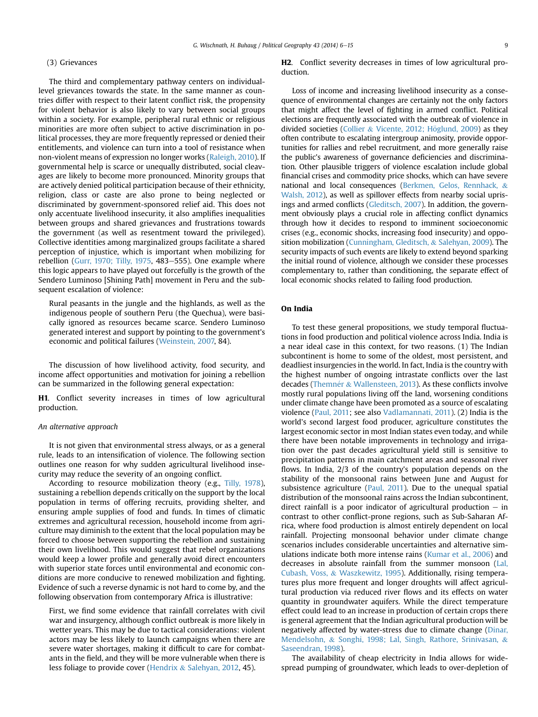#### (3) Grievances

The third and complementary pathway centers on individuallevel grievances towards the state. In the same manner as countries differ with respect to their latent conflict risk, the propensity for violent behavior is also likely to vary between social groups within a society. For example, peripheral rural ethnic or religious minorities are more often subject to active discrimination in political processes, they are more frequently repressed or denied their entitlements, and violence can turn into a tool of resistance when non-violent means of expression no longer works ([Raleigh, 2010\)](#page-9-0). If governmental help is scarce or unequally distributed, social cleavages are likely to become more pronounced. Minority groups that are actively denied political participation because of their ethnicity, religion, class or caste are also prone to being neglected or discriminated by government-sponsored relief aid. This does not only accentuate livelihood insecurity, it also amplifies inequalities between groups and shared grievances and frustrations towards the government (as well as resentment toward the privileged). Collective identities among marginalized groups facilitate a shared perception of injustice, which is important when mobilizing for rebellion [\(Gurr, 1970; Tilly, 1975](#page-8-0), 483-555). One example where this logic appears to have played out forcefully is the growth of the Sendero Luminoso [Shining Path] movement in Peru and the subsequent escalation of violence:

Rural peasants in the jungle and the highlands, as well as the indigenous people of southern Peru (the Quechua), were basically ignored as resources became scarce. Sendero Luminoso generated interest and support by pointing to the government's economic and political failures [\(Weinstein, 2007,](#page-9-0) 84).

The discussion of how livelihood activity, food security, and income affect opportunities and motivation for joining a rebellion can be summarized in the following general expectation:

H1. Conflict severity increases in times of low agricultural production.

# An alternative approach

It is not given that environmental stress always, or as a general rule, leads to an intensification of violence. The following section outlines one reason for why sudden agricultural livelihood insecurity may reduce the severity of an ongoing conflict.

According to resource mobilization theory (e.g., [Tilly, 1978\)](#page-9-0), sustaining a rebellion depends critically on the support by the local population in terms of offering recruits, providing shelter, and ensuring ample supplies of food and funds. In times of climatic extremes and agricultural recession, household income from agriculture may diminish to the extent that the local population may be forced to choose between supporting the rebellion and sustaining their own livelihood. This would suggest that rebel organizations would keep a lower profile and generally avoid direct encounters with superior state forces until environmental and economic conditions are more conducive to renewed mobilization and fighting. Evidence of such a reverse dynamic is not hard to come by, and the following observation from contemporary Africa is illustrative:

First, we find some evidence that rainfall correlates with civil war and insurgency, although conflict outbreak is more likely in wetter years. This may be due to tactical considerations: violent actors may be less likely to launch campaigns when there are severe water shortages, making it difficult to care for combatants in the field, and they will be more vulnerable when there is less foliage to provide cover ([Hendrix](#page-8-0) & [Salehyan, 2012](#page-8-0), 45).

H2. Conflict severity decreases in times of low agricultural production.

Loss of income and increasing livelihood insecurity as a consequence of environmental changes are certainly not the only factors that might affect the level of fighting in armed conflict. Political elections are frequently associated with the outbreak of violence in divided societies [\(Collier](#page-8-0) & [Vicente, 2012; H](#page-8-0)ö[glund, 2009](#page-8-0)) as they often contribute to escalating intergroup animosity, provide opportunities for rallies and rebel recruitment, and more generally raise the public's awareness of governance deficiencies and discrimination. Other plausible triggers of violence escalation include global financial crises and commodity price shocks, which can have severe national and local consequences [\(Berkmen, Gelos, Rennhack,](#page-8-0) & [Walsh, 2012\)](#page-8-0), as well as spillover effects from nearby social uprisings and armed conflicts ([Gleditsch, 2007\)](#page-8-0). In addition, the government obviously plays a crucial role in affecting conflict dynamics through how it decides to respond to imminent socioeconomic crises (e.g., economic shocks, increasing food insecurity) and opposition mobilization [\(Cunningham, Gleditsch,](#page-8-0) & [Salehyan, 2009\)](#page-8-0). The security impacts of such events are likely to extend beyond sparking the initial round of violence, although we consider these processes complementary to, rather than conditioning, the separate effect of local economic shocks related to failing food production.

# On India

To test these general propositions, we study temporal fluctuations in food production and political violence across India. India is a near ideal case in this context, for two reasons. (1) The Indian subcontinent is home to some of the oldest, most persistent, and deadliest insurgencies in the world. In fact, India is the country with the highest number of ongoing intrastate conflicts over the last decades ([Themn](#page-9-0)é[r](#page-9-0) & [Wallensteen, 2013\)](#page-9-0). As these conflicts involve mostly rural populations living off the land, worsening conditions under climate change have been promoted as a source of escalating violence [\(Paul, 2011;](#page-9-0) see also [Vadlamannati, 2011](#page-9-0)). (2) India is the world's second largest food producer, agriculture constitutes the largest economic sector in most Indian states even today, and while there have been notable improvements in technology and irrigation over the past decades agricultural yield still is sensitive to precipitation patterns in main catchment areas and seasonal river flows. In India, 2/3 of the country's population depends on the stability of the monsoonal rains between June and August for subsistence agriculture [\(Paul, 2011](#page-9-0)). Due to the unequal spatial distribution of the monsoonal rains across the Indian subcontinent, direct rainfall is a poor indicator of agricultural production  $-$  in contrast to other conflict-prone regions, such as Sub-Saharan Africa, where food production is almost entirely dependent on local rainfall. Projecting monsoonal behavior under climate change scenarios includes considerable uncertainties and alternative simulations indicate both more intense rains [\(Kumar et al., 2006\)](#page-8-0) and decreases in absolute rainfall from the summer monsoon ([Lal,](#page-8-0) [Cubash, Voss,](#page-8-0) & [Waszkewitz, 1995](#page-8-0)). Additionally, rising temperatures plus more frequent and longer droughts will affect agricultural production via reduced river flows and its effects on water quantity in groundwater aquifers. While the direct temperature effect could lead to an increase in production of certain crops there is general agreement that the Indian agricultural production will be negatively affected by water-stress due to climate change [\(Dinar,](#page-8-0) [Mendelsohn,](#page-8-0) & [Songhi, 1998; Lal, Singh, Rathore, Srinivasan,](#page-8-0) & [Saseendran, 1998\)](#page-8-0).

The availability of cheap electricity in India allows for widespread pumping of groundwater, which leads to over-depletion of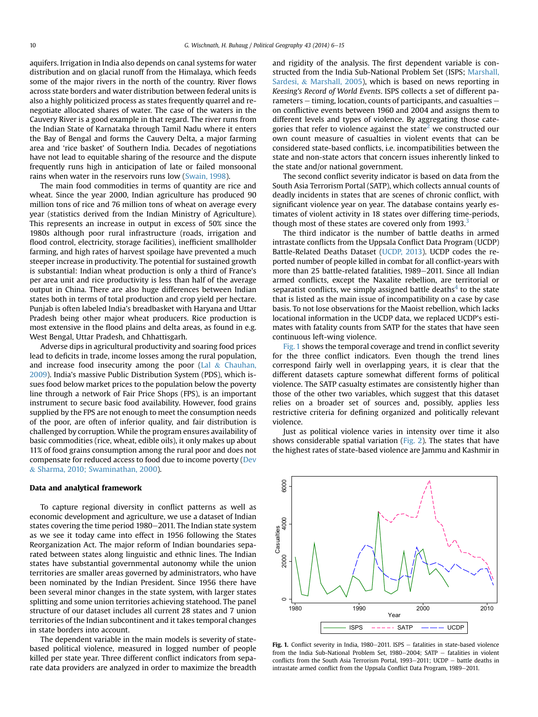aquifers. Irrigation in India also depends on canal systems for water distribution and on glacial runoff from the Himalaya, which feeds some of the major rivers in the north of the country. River flows across state borders and water distribution between federal units is also a highly politicized process as states frequently quarrel and renegotiate allocated shares of water. The case of the waters in the Cauvery River is a good example in that regard. The river runs from the Indian State of Karnataka through Tamil Nadu where it enters the Bay of Bengal and forms the Cauvery Delta, a major farming area and 'rice basket' of Southern India. Decades of negotiations have not lead to equitable sharing of the resource and the dispute frequently runs high in anticipation of late or failed monsoonal rains when water in the reservoirs runs low [\(Swain, 1998](#page-9-0)).

The main food commodities in terms of quantity are rice and wheat. Since the year 2000, Indian agriculture has produced 90 million tons of rice and 76 million tons of wheat on average every year (statistics derived from the Indian Ministry of Agriculture). This represents an increase in output in excess of 50% since the 1980s although poor rural infrastructure (roads, irrigation and flood control, electricity, storage facilities), inefficient smallholder farming, and high rates of harvest spoilage have prevented a much steeper increase in productivity. The potential for sustained growth is substantial: Indian wheat production is only a third of France's per area unit and rice productivity is less than half of the average output in China. There are also huge differences between Indian states both in terms of total production and crop yield per hectare. Punjab is often labeled India's breadbasket with Haryana and Uttar Pradesh being other major wheat producers. Rice production is most extensive in the flood plains and delta areas, as found in e.g. West Bengal, Uttar Pradesh, and Chhattisgarh.

Adverse dips in agricultural productivity and soaring food prices lead to deficits in trade, income losses among the rural population, and increase food insecurity among the poor ([Lal](#page-8-0)  $&$  [Chauhan,](#page-8-0) [2009](#page-8-0)). India's massive Public Distribution System (PDS), which issues food below market prices to the population below the poverty line through a network of Fair Price Shops (FPS), is an important instrument to secure basic food availability. However, food grains supplied by the FPS are not enough to meet the consumption needs of the poor, are often of inferior quality, and fair distribution is challenged by corruption. While the program ensures availability of basic commodities (rice, wheat, edible oils), it only makes up about 11% of food grains consumption among the rural poor and does not compensate for reduced access to food due to income poverty [\(Dev](#page-8-0) & [Sharma, 2010; Swaminathan, 2000](#page-8-0)).

# Data and analytical framework

To capture regional diversity in conflict patterns as well as economic development and agriculture, we use a dataset of Indian states covering the time period 1980–2011. The Indian state system as we see it today came into effect in 1956 following the States Reorganization Act. The major reform of Indian boundaries separated between states along linguistic and ethnic lines. The Indian states have substantial governmental autonomy while the union territories are smaller areas governed by administrators, who have been nominated by the Indian President. Since 1956 there have been several minor changes in the state system, with larger states splitting and some union territories achieving statehood. The panel structure of our dataset includes all current 28 states and 7 union territories of the Indian subcontinent and it takes temporal changes in state borders into account.

The dependent variable in the main models is severity of statebased political violence, measured in logged number of people killed per state year. Three different conflict indicators from separate data providers are analyzed in order to maximize the breadth and rigidity of the analysis. The first dependent variable is constructed from the India Sub-National Problem Set (ISPS; [Marshall,](#page-8-0) [Sardesi,](#page-8-0) & [Marshall, 2005](#page-8-0)), which is based on news reporting in Keesing's Record of World Events. ISPS collects a set of different parameters  $-$  timing, location, counts of participants, and casualties  $$ on conflictive events between 1960 and 2004 and assigns them to different levels and types of violence. By aggregating those cate-gories that refer to violence against the state<sup>[2](#page-8-0)</sup> we constructed our own count measure of casualties in violent events that can be considered state-based conflicts, i.e. incompatibilities between the state and non-state actors that concern issues inherently linked to the state and/or national government.

The second conflict severity indicator is based on data from the South Asia Terrorism Portal (SATP), which collects annual counts of deadly incidents in states that are scenes of chronic conflict, with significant violence year on year. The database contains yearly estimates of violent activity in 18 states over differing time-periods, though most of these states are covered only from  $1993.<sup>3</sup>$  $1993.<sup>3</sup>$  $1993.<sup>3</sup>$ 

The third indicator is the number of battle deaths in armed intrastate conflicts from the Uppsala Conflict Data Program (UCDP) Battle-Related Deaths Dataset [\(UCDP, 2013\)](#page-9-0). UCDP codes the reported number of people killed in combat for all conflict-years with more than 25 battle-related fatalities, 1989-2011. Since all Indian armed conflicts, except the Naxalite rebellion, are territorial or separatist conflicts, we simply assigned battle deaths $4$  to the state that is listed as the main issue of incompatibility on a case by case basis. To not lose observations for the Maoist rebellion, which lacks locational information in the UCDP data, we replaced UCDP's estimates with fatality counts from SATP for the states that have seen continuous left-wing violence.

Fig. 1 shows the temporal coverage and trend in conflict severity for the three conflict indicators. Even though the trend lines correspond fairly well in overlapping years, it is clear that the different datasets capture somewhat different forms of political violence. The SATP casualty estimates are consistently higher than those of the other two variables, which suggest that this dataset relies on a broader set of sources and, possibly, applies less restrictive criteria for defining organized and politically relevant violence.

Just as political violence varies in intensity over time it also shows considerable spatial variation ( $Fig. 2$ ). The states that have the highest rates of state-based violence are Jammu and Kashmir in



Fig. 1. Conflict severity in India, 1980-2011. ISPS - fatalities in state-based violence from the India Sub-National Problem Set,  $1980-2004$ ; SATP - fatalities in violent conflicts from the South Asia Terrorism Portal,  $1993-2011$ ; UCDP - battle deaths in intrastate armed conflict from the Uppsala Conflict Data Program, 1989-2011.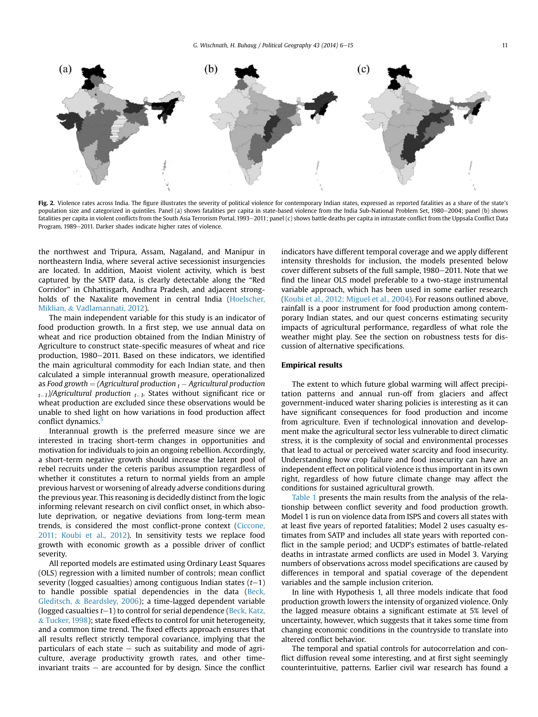<span id="page-5-0"></span>

Fig. 2. Violence rates across India. The figure illustrates the severity of political violence for contemporary Indian states, expressed as reported fatalities as a share of the state's population size and categorized in quintiles. Panel (a) shows fatalities per capita in state-based violence from the India Sub-National Problem Set, 1980–2004; panel (b) shows fatalities per capita in violent conflicts from the South Asia Terrorism Portal, 1993-2011; panel (c) shows battle deaths per capita in intrastate conflict from the Uppsala Conflict Data Program, 1989-2011. Darker shades indicate higher rates of violence.

the northwest and Tripura, Assam, Nagaland, and Manipur in northeastern India, where several active secessionist insurgencies are located. In addition, Maoist violent activity, which is best captured by the SATP data, is clearly detectable along the "Red Corridor" in Chhattisgarh, Andhra Pradesh, and adjacent strongholds of the Naxalite movement in central India [\(Hoelscher,](#page-8-0) [Miklian,](#page-8-0) & [Vadlamannati, 2012\)](#page-8-0).

The main independent variable for this study is an indicator of food production growth. In a first step, we use annual data on wheat and rice production obtained from the Indian Ministry of Agriculture to construct state-specific measures of wheat and rice production, 1980-2011. Based on these indicators, we identified the main agricultural commodity for each Indian state, and then calculated a simple interannual growth measure, operationalized as Food growth  $=$  (Agricultural production  $_t$  – Agricultural production  $_{t-1}$ /Agricultural production  $_{t-1}$ . States without significant rice or wheat production are excluded since these observations would be unable to shed light on how variations in food production affect conflict dynamics.<sup>5</sup>

Interannual growth is the preferred measure since we are interested in tracing short-term changes in opportunities and motivation for individuals to join an ongoing rebellion. Accordingly, a short-term negative growth should increase the latent pool of rebel recruits under the ceteris paribus assumption regardless of whether it constitutes a return to normal yields from an ample previous harvest or worsening of already adverse conditions during the previous year. This reasoning is decidedly distinct from the logic informing relevant research on civil conflict onset, in which absolute deprivation, or negative deviations from long-term mean trends, is considered the most conflict-prone context ([Ciccone,](#page-8-0) [2011; Koubi et al., 2012](#page-8-0)). In sensitivity tests we replace food growth with economic growth as a possible driver of conflict severity.

All reported models are estimated using Ordinary Least Squares (OLS) regression with a limited number of controls; mean conflict severity (logged casualties) among contiguous Indian states  $(t-1)$ to handle possible spatial dependencies in the data [\(Beck,](#page-8-0) [Gleditsch,](#page-8-0) & [Beardsley, 2006\)](#page-8-0); a time-lagged dependent variable (logged casualties  $t-1$ ) to control for serial dependence ([Beck, Katz,](#page-8-0) & [Tucker, 1998](#page-8-0)); state fixed effects to control for unit heterogeneity, and a common time trend. The fixed effects approach ensures that all results reflect strictly temporal covariance, implying that the particulars of each state  $-$  such as suitability and mode of agriculture, average productivity growth rates, and other timeinvariant traits  $-$  are accounted for by design. Since the conflict indicators have different temporal coverage and we apply different intensity thresholds for inclusion, the models presented below cover different subsets of the full sample, 1980-2011. Note that we find the linear OLS model preferable to a two-stage instrumental variable approach, which has been used in some earlier research ([Koubi et al., 2012; Miguel et al., 2004\)](#page-8-0). For reasons outlined above, rainfall is a poor instrument for food production among contemporary Indian states, and our quest concerns estimating security impacts of agricultural performance, regardless of what role the weather might play. See the section on robustness tests for discussion of alternative specifications.

# Empirical results

The extent to which future global warming will affect precipitation patterns and annual run-off from glaciers and affect government-induced water sharing policies is interesting as it can have significant consequences for food production and income from agriculture. Even if technological innovation and development make the agricultural sector less vulnerable to direct climatic stress, it is the complexity of social and environmental processes that lead to actual or perceived water scarcity and food insecurity. Understanding how crop failure and food insecurity can have an independent effect on political violence is thus important in its own right, regardless of how future climate change may affect the conditions for sustained agricultural growth.

[Table 1](#page-6-0) presents the main results from the analysis of the relationship between conflict severity and food production growth. Model 1 is run on violence data from ISPS and covers all states with at least five years of reported fatalities; Model 2 uses casualty estimates from SATP and includes all state years with reported conflict in the sample period; and UCDP's estimates of battle-related deaths in intrastate armed conflicts are used in Model 3. Varying numbers of observations across model specifications are caused by differences in temporal and spatial coverage of the dependent variables and the sample inclusion criterion.

In line with Hypothesis 1, all three models indicate that food production growth lowers the intensity of organized violence. Only the lagged measure obtains a significant estimate at 5% level of uncertainty, however, which suggests that it takes some time from changing economic conditions in the countryside to translate into altered conflict behavior.

The temporal and spatial controls for autocorrelation and conflict diffusion reveal some interesting, and at first sight seemingly counterintuitive, patterns. Earlier civil war research has found a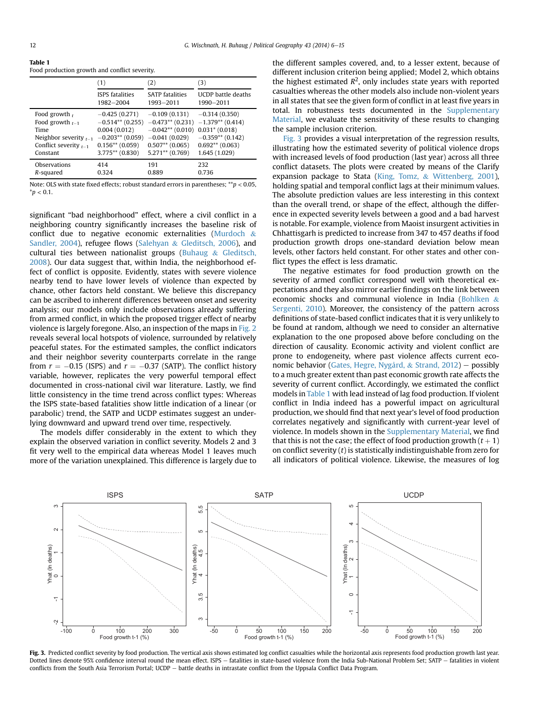<span id="page-6-0"></span>Table 1

| Table T                                       |  |  |
|-----------------------------------------------|--|--|
| Food production growth and conflict severity. |  |  |

|                            | (1)                    | (2)                    | (3)                       |
|----------------------------|------------------------|------------------------|---------------------------|
|                            | <b>ISPS</b> fatalities | <b>SATP fatalities</b> | <b>UCDP</b> battle deaths |
|                            | 1982-2004              | 1993-2011              | 1990-2011                 |
| Food growth $\mu$          | $-0.425(0.271)$        | $-0.109(0.131)$        | $-0.314(0.350)$           |
| Food growth $_{t=1}$       | $-0.514**$ (0.255)     | $-0.473**$ (0.231)     | $-1.379**$ (0.414)        |
| Time                       | 0.004(0.012)           | $-0.042**$ (0.010)     | $0.031$ * (0.018)         |
| Neighbor severity $t_{-1}$ | $-0.203**$ (0.059)     | $-0.041(0.029)$        | $-0.359**$ (0.142)        |
| Conflict severity $t_{-1}$ | $0.156**$ (0.059)      | $0.507**$ (0.065)      | $0.692**$ (0.063)         |
| Constant                   | $3.775**$ (0.830)      | $5.271**$ (0.769)      | 1.645 (1.029)             |
| Observations               | 414                    | 191                    | 232                       |
| R-squared                  | 0.324                  | 0.889                  | 0.736                     |

Note: OLS with state fixed effects; robust standard errors in parentheses;  $*p < 0.05$ ,  $*$ *p* < 0.1.

significant "bad neighborhood" effect, where a civil conflict in a neighboring country significantly increases the baseline risk of conflict due to negative economic externalities [\(Murdoch](#page-8-0) & [Sandler, 2004\)](#page-8-0), refugee flows [\(Salehyan](#page-9-0) & [Gleditsch, 2006](#page-9-0)), and cultural ties between nationalist groups ([Buhaug](#page-8-0) & [Gleditsch,](#page-8-0) [2008](#page-8-0)). Our data suggest that, within India, the neighborhood effect of conflict is opposite. Evidently, states with severe violence nearby tend to have lower levels of violence than expected by chance, other factors held constant. We believe this discrepancy can be ascribed to inherent differences between onset and severity analysis; our models only include observations already suffering from armed conflict, in which the proposed trigger effect of nearby violence is largely foregone. Also, an inspection of the maps in [Fig. 2](#page-5-0) reveals several local hotspots of violence, surrounded by relatively peaceful states. For the estimated samples, the conflict indicators and their neighbor severity counterparts correlate in the range from  $r = -0.15$  (ISPS) and  $r = -0.37$  (SATP). The conflict history variable, however, replicates the very powerful temporal effect documented in cross-national civil war literature. Lastly, we find little consistency in the time trend across conflict types: Whereas the ISPS state-based fatalities show little indication of a linear (or parabolic) trend, the SATP and UCDP estimates suggest an underlying downward and upward trend over time, respectively.

The models differ considerably in the extent to which they explain the observed variation in conflict severity. Models 2 and 3 fit very well to the empirical data whereas Model 1 leaves much more of the variation unexplained. This difference is largely due to the different samples covered, and, to a lesser extent, because of different inclusion criterion being applied; Model 2, which obtains the highest estimated  $R^2$ , only includes state years with reported casualties whereas the other models also include non-violent years in all states that see the given form of conflict in at least five years in total. In robustness tests documented in the Supplementary Material, we evaluate the sensitivity of these results to changing the sample inclusion criterion.

Fig. 3 provides a visual interpretation of the regression results, illustrating how the estimated severity of political violence drops with increased levels of food production (last year) across all three conflict datasets. The plots were created by means of the Clarify expansion package to Stata ([King, Tomz,](#page-8-0) & [Wittenberg, 2001\)](#page-8-0), holding spatial and temporal conflict lags at their minimum values. The absolute prediction values are less interesting in this context than the overall trend, or shape of the effect, although the difference in expected severity levels between a good and a bad harvest is notable. For example, violence from Maoist insurgent activities in Chhattisgarh is predicted to increase from 347 to 457 deaths if food production growth drops one-standard deviation below mean levels, other factors held constant. For other states and other conflict types the effect is less dramatic.

The negative estimates for food production growth on the severity of armed conflict correspond well with theoretical expectations and they also mirror earlier findings on the link between economic shocks and communal violence in India ([Bohlken](#page-8-0) & [Sergenti, 2010\)](#page-8-0). Moreover, the consistency of the pattern across definitions of state-based conflict indicates that it is very unlikely to be found at random, although we need to consider an alternative explanation to the one proposed above before concluding on the direction of causality. Economic activity and violent conflict are prone to endogeneity, where past violence affects current eco-nomic behavior ([Gates, Hegre, Nygård,](#page-8-0) & [Strand, 2012\)](#page-8-0) - possibly to a much greater extent than past economic growth rate affects the severity of current conflict. Accordingly, we estimated the conflict models in Table 1 with lead instead of lag food production. If violent conflict in India indeed has a powerful impact on agricultural production, we should find that next year's level of food production correlates negatively and significantly with current-year level of violence. In models shown in the Supplementary Material, we find that this is not the case; the effect of food production growth  $(t + 1)$ on conflict severity (t) is statistically indistinguishable from zero for all indicators of political violence. Likewise, the measures of log



Fig. 3. Predicted conflict severity by food production. The vertical axis shows estimated log conflict casualties while the horizontal axis represents food production growth last year. Dotted lines denote 95% confidence interval round the mean effect. ISPS - fatalities in state-based violence from the India Sub-National Problem Set; SATP - fatalities in violent conflicts from the South Asia Terrorism Portal; UCDP - battle deaths in intrastate conflict from the Uppsala Conflict Data Program.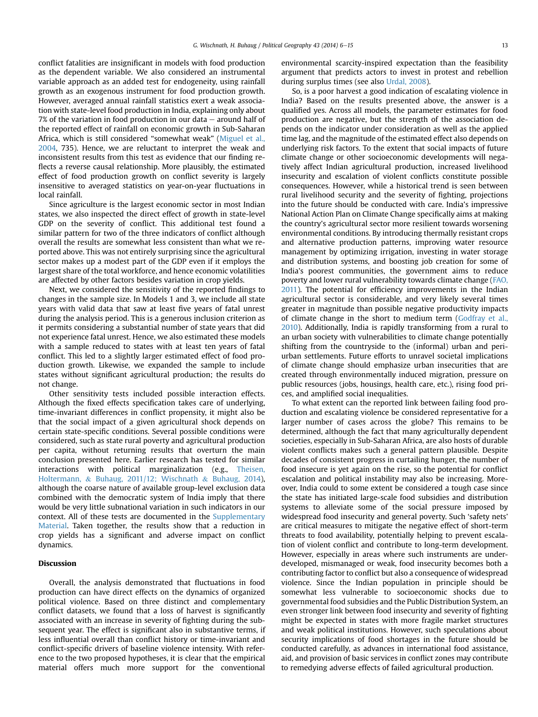conflict fatalities are insignificant in models with food production as the dependent variable. We also considered an instrumental variable approach as an added test for endogeneity, using rainfall growth as an exogenous instrument for food production growth. However, averaged annual rainfall statistics exert a weak association with state-level food production in India, explaining only about  $7\%$  of the variation in food production in our data  $-$  around half of the reported effect of rainfall on economic growth in Sub-Saharan Africa, which is still considered "somewhat weak" [\(Miguel et al.,](#page-8-0) [2004,](#page-8-0) 735). Hence, we are reluctant to interpret the weak and inconsistent results from this test as evidence that our finding reflects a reverse causal relationship. More plausibly, the estimated effect of food production growth on conflict severity is largely insensitive to averaged statistics on year-on-year fluctuations in local rainfall.

Since agriculture is the largest economic sector in most Indian states, we also inspected the direct effect of growth in state-level GDP on the severity of conflict. This additional test found a similar pattern for two of the three indicators of conflict although overall the results are somewhat less consistent than what we reported above. This was not entirely surprising since the agricultural sector makes up a modest part of the GDP even if it employs the largest share of the total workforce, and hence economic volatilities are affected by other factors besides variation in crop yields.

Next, we considered the sensitivity of the reported findings to changes in the sample size. In Models 1 and 3, we include all state years with valid data that saw at least five years of fatal unrest during the analysis period. This is a generous inclusion criterion as it permits considering a substantial number of state years that did not experience fatal unrest. Hence, we also estimated these models with a sample reduced to states with at least ten years of fatal conflict. This led to a slightly larger estimated effect of food production growth. Likewise, we expanded the sample to include states without significant agricultural production; the results do not change.

Other sensitivity tests included possible interaction effects. Although the fixed effects specification takes care of underlying, time-invariant differences in conflict propensity, it might also be that the social impact of a given agricultural shock depends on certain state-specific conditions. Several possible conditions were considered, such as state rural poverty and agricultural production per capita, without returning results that overturn the main conclusion presented here. Earlier research has tested for similar interactions with political marginalization (e.g., [Theisen,](#page-9-0) [Holtermann,](#page-9-0) & [Buhaug, 2011/12; Wischnath](#page-9-0) & [Buhaug, 2014\)](#page-9-0), although the coarse nature of available group-level exclusion data combined with the democratic system of India imply that there would be very little subnational variation in such indicators in our context. All of these tests are documented in the Supplementary Material. Taken together, the results show that a reduction in crop yields has a significant and adverse impact on conflict dynamics.

# Discussion

Overall, the analysis demonstrated that fluctuations in food production can have direct effects on the dynamics of organized political violence. Based on three distinct and complementary conflict datasets, we found that a loss of harvest is significantly associated with an increase in severity of fighting during the subsequent year. The effect is significant also in substantive terms, if less influential overall than conflict history or time-invariant and conflict-specific drivers of baseline violence intensity. With reference to the two proposed hypotheses, it is clear that the empirical material offers much more support for the conventional

environmental scarcity-inspired expectation than the feasibility argument that predicts actors to invest in protest and rebellion during surplus times (see also [Urdal, 2008](#page-9-0)).

So, is a poor harvest a good indication of escalating violence in India? Based on the results presented above, the answer is a qualified yes. Across all models, the parameter estimates for food production are negative, but the strength of the association depends on the indicator under consideration as well as the applied time lag, and the magnitude of the estimated effect also depends on underlying risk factors. To the extent that social impacts of future climate change or other socioeconomic developments will negatively affect Indian agricultural production, increased livelihood insecurity and escalation of violent conflicts constitute possible consequences. However, while a historical trend is seen between rural livelihood security and the severity of fighting, projections into the future should be conducted with care. India's impressive National Action Plan on Climate Change specifically aims at making the country's agricultural sector more resilient towards worsening environmental conditions. By introducing thermally resistant crops and alternative production patterns, improving water resource management by optimizing irrigation, investing in water storage and distribution systems, and boosting job creation for some of India's poorest communities, the government aims to reduce poverty and lower rural vulnerability towards climate change ([FAO,](#page-8-0) [2011](#page-8-0)). The potential for efficiency improvements in the Indian agricultural sector is considerable, and very likely several times greater in magnitude than possible negative productivity impacts of climate change in the short to medium term [\(Godfray et al.,](#page-8-0) [2010\)](#page-8-0). Additionally, India is rapidly transforming from a rural to an urban society with vulnerabilities to climate change potentially shifting from the countryside to the (informal) urban and periurban settlements. Future efforts to unravel societal implications of climate change should emphasize urban insecurities that are created through environmentally induced migration, pressure on public resources (jobs, housings, health care, etc.), rising food prices, and amplified social inequalities.

To what extent can the reported link between failing food production and escalating violence be considered representative for a larger number of cases across the globe? This remains to be determined, although the fact that many agriculturally dependent societies, especially in Sub-Saharan Africa, are also hosts of durable violent conflicts makes such a general pattern plausible. Despite decades of consistent progress in curtailing hunger, the number of food insecure is yet again on the rise, so the potential for conflict escalation and political instability may also be increasing. Moreover, India could to some extent be considered a tough case since the state has initiated large-scale food subsidies and distribution systems to alleviate some of the social pressure imposed by widespread food insecurity and general poverty. Such 'safety nets' are critical measures to mitigate the negative effect of short-term threats to food availability, potentially helping to prevent escalation of violent conflict and contribute to long-term development. However, especially in areas where such instruments are underdeveloped, mismanaged or weak, food insecurity becomes both a contributing factor to conflict but also a consequence of widespread violence. Since the Indian population in principle should be somewhat less vulnerable to socioeconomic shocks due to governmental food subsidies and the Public Distribution System, an even stronger link between food insecurity and severity of fighting might be expected in states with more fragile market structures and weak political institutions. However, such speculations about security implications of food shortages in the future should be conducted carefully, as advances in international food assistance, aid, and provision of basic services in conflict zones may contribute to remedying adverse effects of failed agricultural production.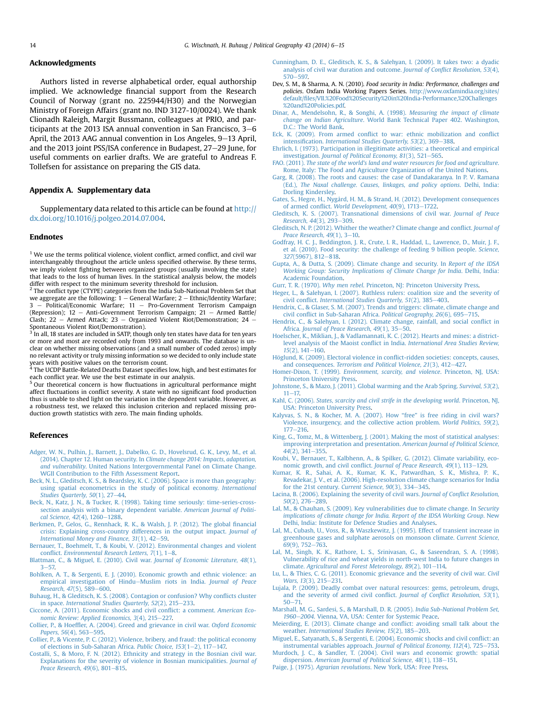#### <span id="page-8-0"></span>Acknowledgments

Authors listed in reverse alphabetical order, equal authorship implied. We acknowledge financial support from the Research Council of Norway (grant no. 225944/H30) and the Norwegian Ministry of Foreign Affairs (grant no. IND 3127-10/0024). We thank Clionadh Raleigh, Margit Bussmann, colleagues at PRIO, and participants at the 2013 ISA annual convention in San Francisco,  $3-6$ April, the 2013 AAG annual convention in Los Angeles, 9–13 April, and the 2013 joint PSS/ISA conference in Budapest, 27-29 June, for useful comments on earlier drafts. We are grateful to Andreas F. Tollefsen for assistance on preparing the GIS data.

#### Appendix A. Supplementary data

Supplementary data related to this article can be found at [http://](http://dx.doi.org/10.1016/j.polgeo.2014.07.004) [dx.doi.org/10.1016/j.polgeo.2014.07.004](http://dx.doi.org/10.1016/j.polgeo.2014.07.004).

# Endnotes

 $1$  We use the terms political violence, violent conflict, armed conflict, and civil war interchangeably throughout the article unless specified otherwise. By these terms, we imply violent fighting between organized groups (usually involving the state) that leads to the loss of human lives. In the statistical analysis below, the models differ with respect to the minimum severity threshold for inclusion.<br><sup>2</sup> The conflict type (CTYPE) categories from the India Sub-National Problem Set that

we aggregate are the following:  $1 -$  General Warfare;  $2 -$  Ethnic/Identity Warfare; 3 - Political/Economic Warfare; 11 - Pro-Government Terrorism Campaign (Repression);  $12$  - Anti-Government Terrorism Campaign;  $21$  - Armed Battle/ Clash; 22 - Armed Attack; 23 - Organized Violent Riot/Demonstration; 24

Spontaneous Violent Riot/Demonstration).<br><sup>3</sup> In all, 18 states are included in SATP, though only ten states have data for ten years or more and most are recorded only from 1993 and onwards. The database is unclear on whether missing observations (and a small number of coded zeros) imply no relevant activity or truly missing information so we decided to only include state

years with positive values on the terrorism count. <sup>4</sup> The UCDP Battle-Related Deaths Dataset specifies low, high, and best estimates for each conflict year. We use the best estimate in our analysis.<br><sup>5</sup> Our theoretical concern is how fluctuations in agricultural performance might

affect fluctuations in conflict severity. A state with no significant food production thus is unable to shed light on the variation in the dependent variable. However, as a robustness test, we relaxed this inclusion criterion and replaced missing production growth statistics with zero. The main finding upholds.

#### References

- [Adger, W. N., Pulhin, J., Barnett, J., Dabelko, G. D., Hovelsrud, G. K., Levy, M., et al.](http://refhub.elsevier.com/S0962-6298(14)00060-2/sref1) (2014). Chapter 12. Human security. In [Climate change 2014: Impacts, adaptation,](http://refhub.elsevier.com/S0962-6298(14)00060-2/sref1) and vulnerability[. United Nations Intergovernmental Panel on Climate Change.](http://refhub.elsevier.com/S0962-6298(14)00060-2/sref1) [WGII Contribution to the Fifth Assessment Report](http://refhub.elsevier.com/S0962-6298(14)00060-2/sref1).
- [Beck, N. L., Gleditsch, K. S., & Beardsley, K. C. \(2006\). Space is more than geography:](http://refhub.elsevier.com/S0962-6298(14)00060-2/sref2) [using spatial econometrics in the study of political economy.](http://refhub.elsevier.com/S0962-6298(14)00060-2/sref2) International Studies Quarterly,  $50(1)$ ,  $27-44$  $27-44$ .
- [Beck, N., Katz, J. N., & Tucker, R. \(1998\). Taking time seriously: time-series-cross](http://refhub.elsevier.com/S0962-6298(14)00060-2/sref3)[section analysis with a binary dependent variable.](http://refhub.elsevier.com/S0962-6298(14)00060-2/sref3) American Journal of Politi-
- [cal Science, 42](http://refhub.elsevier.com/S0962-6298(14)00060-2/sref3)(4), 1260–[1288.](http://refhub.elsevier.com/S0962-6298(14)00060-2/sref3)<br>[Berkmen, P., Gelos, G., Rennhack, R. K., & Walsh, J. P. \(2012\). The global](http://refhub.elsevier.com/S0962-6298(14)00060-2/sref4) financial [crisis: Explaining cross-country differences in the output impact.](http://refhub.elsevier.com/S0962-6298(14)00060-2/sref4) Journal of International Money and Finance,  $31(1)$ ,  $42-59$  $42-59$ .
- [Bernauer, T., Boehmelt, T., & Koubi, V. \(2012\). Environmental changes and violent](http://refhub.elsevier.com/S0962-6298(14)00060-2/sref5) conflict. Environmental Research Letters,  $7(1)$ ,  $1-8$ .
- [Blattman, C., & Miguel, E. \(2010\). Civil war.](http://refhub.elsevier.com/S0962-6298(14)00060-2/sref6) Journal of Economic Literature, 48(1),  $3 - 57.$  $3 - 57.$  $3 - 57.$
- [Bohlken, A. T., & Sergenti, E. J. \(2010\). Economic growth and ethnic violence: an](http://refhub.elsevier.com/S0962-6298(14)00060-2/sref7) [empirical investigation of Hindu](http://refhub.elsevier.com/S0962-6298(14)00060-2/sref7)-[Muslim riots in India.](http://refhub.elsevier.com/S0962-6298(14)00060-2/sref7) Journal of Peace [Research, 47](http://refhub.elsevier.com/S0962-6298(14)00060-2/sref7)(5), 589-[600](http://refhub.elsevier.com/S0962-6298(14)00060-2/sref7).
- [Buhaug, H., & Gleditsch, K. S. \(2008\). Contagion or confusion? Why con](http://refhub.elsevier.com/S0962-6298(14)00060-2/sref8)flicts cluster in space. International Studies Quarterly,  $52(2)$ ,  $215-233$  $215-233$ .
- [Ciccone, A. \(2011\). Economic shocks and civil con](http://refhub.elsevier.com/S0962-6298(14)00060-2/sref9)flict: a comment. American Eco[nomic Review: Applied Economics, 3](http://refhub.elsevier.com/S0962-6298(14)00060-2/sref9)(4), 215-[227.](http://refhub.elsevier.com/S0962-6298(14)00060-2/sref9)
- Collier, P., & Hoeffl[er, A. \(2004\). Greed and grievance in civil war.](http://refhub.elsevier.com/S0962-6298(14)00060-2/sref10) Oxford Economic [Papers, 56](http://refhub.elsevier.com/S0962-6298(14)00060-2/sref10)(4), 563-[595.](http://refhub.elsevier.com/S0962-6298(14)00060-2/sref10)
- [Collier, P., & Vicente, P. C. \(2012\). Violence, bribery, and fraud: the political economy](http://refhub.elsevier.com/S0962-6298(14)00060-2/sref11) [of elections in Sub-Saharan Africa.](http://refhub.elsevier.com/S0962-6298(14)00060-2/sref11) Public Choice, 153(1-[2\), 117](http://refhub.elsevier.com/S0962-6298(14)00060-2/sref11)-[147.](http://refhub.elsevier.com/S0962-6298(14)00060-2/sref11)
- [Costalli, S., & Moro, F. N. \(2012\). Ethnicity and strategy in the Bosnian civil war.](http://refhub.elsevier.com/S0962-6298(14)00060-2/sref12) [Explanations for the severity of violence in Bosnian municipalities.](http://refhub.elsevier.com/S0962-6298(14)00060-2/sref12) Journal of [Peace Research, 49](http://refhub.elsevier.com/S0962-6298(14)00060-2/sref12)(6), 801-[815.](http://refhub.elsevier.com/S0962-6298(14)00060-2/sref12)
- [Cunningham, D. E., Gleditsch, K. S., & Salehyan, I. \(2009\). It takes two: a dyadic](http://refhub.elsevier.com/S0962-6298(14)00060-2/sref14) [analysis of civil war duration and outcome.](http://refhub.elsevier.com/S0962-6298(14)00060-2/sref14) Journal of Conflict Resolution, 53(4),  $570 - 597$  $570 - 597$
- Dev, S. M., & Sharma, A. N. (2010). Food security in India: Performance, challenges and policies. Oxfam India Working Papers Series. [http://www.oxfamindia.org/sites/](http://www.oxfamindia.org/sites/default/files/VII.%2520Food%2520Security%2520in%2520India-Performance,%2520Challenges%2520and%2520Policies.pdf) default/fi[les/VII.%20Food%20Security%20in%20India-Performance,%20Challenges](http://www.oxfamindia.org/sites/default/files/VII.%2520Food%2520Security%2520in%2520India-Performance,%2520Challenges%2520and%2520Policies.pdf) [%20and%20Policies.pdf](http://www.oxfamindia.org/sites/default/files/VII.%2520Food%2520Security%2520in%2520India-Performance,%2520Challenges%2520and%2520Policies.pdf).
- [Dinar, A., Mendelsohn, R., & Songhi, A. \(1998\).](http://refhub.elsevier.com/S0962-6298(14)00060-2/sref16) Measuring the impact of climate change on Indian Agriculture[. World Bank Technical Paper 402. Washington,](http://refhub.elsevier.com/S0962-6298(14)00060-2/sref16) [D.C.: The World Bank](http://refhub.elsevier.com/S0962-6298(14)00060-2/sref16).
- Eck, K. (2009). From armed confl[ict to war: ethnic mobilization and con](http://refhub.elsevier.com/S0962-6298(14)00060-2/sref17)flict intensification. [International Studies Quarterly, 53](http://refhub.elsevier.com/S0962-6298(14)00060-2/sref17)(2), 369-[388](http://refhub.elsevier.com/S0962-6298(14)00060-2/sref17).
- [Ehrlich, I. \(1973\). Participation in illegitimate activities: a theoretical and empirical](http://refhub.elsevier.com/S0962-6298(14)00060-2/sref18) investigation. [Journal of Political Economy, 81](http://refhub.elsevier.com/S0962-6298(14)00060-2/sref18)(3), 521-[565.](http://refhub.elsevier.com/S0962-6298(14)00060-2/sref18)
- FAO. (2011). [The state of the world's land and water resources for food and agriculture](http://refhub.elsevier.com/S0962-6298(14)00060-2/sref19). [Rome, Italy: The Food and Agriculture Organization of the United Nations](http://refhub.elsevier.com/S0962-6298(14)00060-2/sref19).
- [Garg, R. \(2008\). The roots and causes: the case of Dandakaranya. In P. V. Ramana](http://refhub.elsevier.com/S0962-6298(14)00060-2/sref20) (Ed.), [The Naxal challenge. Causes, linkages, and policy options](http://refhub.elsevier.com/S0962-6298(14)00060-2/sref20). Delhi, India: [Dorling Kindersley.](http://refhub.elsevier.com/S0962-6298(14)00060-2/sref20)
- [Gates, S., Hegre, H., Nygård, H. M., & Strand, H. \(2012\). Development consequences](http://refhub.elsevier.com/S0962-6298(14)00060-2/sref21) of armed conflict. [World Development, 40](http://refhub.elsevier.com/S0962-6298(14)00060-2/sref21)(9), 1713-[1722.](http://refhub.elsevier.com/S0962-6298(14)00060-2/sref21)
- [Gleditsch, K. S. \(2007\). Transnational dimensions of civil war.](http://refhub.elsevier.com/S0962-6298(14)00060-2/sref22) Journal of Peace [Research, 44](http://refhub.elsevier.com/S0962-6298(14)00060-2/sref22)(3), 293-[309](http://refhub.elsevier.com/S0962-6298(14)00060-2/sref22).
- [Gleditsch, N. P. \(2012\). Whither the weather? Climate change and con](http://refhub.elsevier.com/S0962-6298(14)00060-2/sref23)flict. Journal of Peace Research,  $49(1)$ ,  $3-10$ .
- [Godfray, H. C. J., Beddington, J. R., Crute, I. R., Haddad, L., Lawrence, D., Muir, J. F.,](http://refhub.elsevier.com/S0962-6298(14)00060-2/sref24) [et al. \(2010\). Food security: the challenge of feeding 9 billion people.](http://refhub.elsevier.com/S0962-6298(14)00060-2/sref24) Science, 327[\(5967\), 812](http://refhub.elsevier.com/S0962-6298(14)00060-2/sref24)-[818](http://refhub.elsevier.com/S0962-6298(14)00060-2/sref24).
- [Gupta, A., & Dutta, S. \(2009\). Climate change and security. In](http://refhub.elsevier.com/S0962-6298(14)00060-2/sref25) Report of the IDSA [Working Group: Security Implications of Climate Change for India](http://refhub.elsevier.com/S0962-6298(14)00060-2/sref25). Delhi, India: [Academic Foundation.](http://refhub.elsevier.com/S0962-6298(14)00060-2/sref25)
- Gurr, T. R. (1970). Why men rebel[. Princeton, NJ: Princeton University Press.](http://refhub.elsevier.com/S0962-6298(14)00060-2/sref26)
- [Heger, L., & Salehyan, I. \(2007\). Ruthless rulers: coalition size and the severity of](http://refhub.elsevier.com/S0962-6298(14)00060-2/sref27) civil conflict. International Studies Quarterly,  $51(2)$ ,  $385-403$ .
- [Hendrix, C., & Glaser, S. M. \(2007\). Trends and triggers: climate, climate change and](http://refhub.elsevier.com/S0962-6298(14)00060-2/sref28) civil confl[ict in Sub-Saharan Africa.](http://refhub.elsevier.com/S0962-6298(14)00060-2/sref28) Political Geography, 26(6), 695-[715](http://refhub.elsevier.com/S0962-6298(14)00060-2/sref28).
- [Hendrix, C., & Salehyan, I. \(2012\). Climate change, rainfall, and social con](http://refhub.elsevier.com/S0962-6298(14)00060-2/sref29)flict in Africa. [Journal of Peace Research, 49](http://refhub.elsevier.com/S0962-6298(14)00060-2/sref29)(1), 35-[50](http://refhub.elsevier.com/S0962-6298(14)00060-2/sref29).
- [Hoelscher, K., Miklian, J., & Vadlamannati, K. C. \(2012\). Hearts and mines: a district](http://refhub.elsevier.com/S0962-6298(14)00060-2/sref30)level analysis of the Maoist conflict in India. [International Area Studies Review,](http://refhub.elsevier.com/S0962-6298(14)00060-2/sref30)  $15(2)$ ,  $141-160$  $141-160$ .
- Höglund, K. (2009). Electoral violence in conflict-ridden societies: concepts, causes, and consequences. Terrorism and Political Violence,  $21(3)$ ,  $412-427$ .
- Homer-Dixon, T. (1999). [Environment, scarcity, and violence](http://refhub.elsevier.com/S0962-6298(14)00060-2/sref32). Princeton, NJ, USA: [Princeton University Press.](http://refhub.elsevier.com/S0962-6298(14)00060-2/sref32)
- [Johnstone, S., & Mazo, J. \(2011\). Global warming and the Arab Spring.](http://refhub.elsevier.com/S0962-6298(14)00060-2/sref33) Survival, 53(2),  $11 - 17.$  $11 - 17.$  $11 - 17.$
- Kahl, C. (2006). [States, scarcity and civil strife in the developing world](http://refhub.elsevier.com/S0962-6298(14)00060-2/sref34). Princeton, NJ, [USA: Princeton University Press.](http://refhub.elsevier.com/S0962-6298(14)00060-2/sref34)
- [Kalyvas, S. N., & Kocher, M. A. \(2007\). How](http://refhub.elsevier.com/S0962-6298(14)00060-2/sref35) "free" is free riding in civil wars? [Violence, insurgency, and the collective action problem.](http://refhub.elsevier.com/S0962-6298(14)00060-2/sref35) World Politics, 59(2),  $177 - 216$  $177 - 216$ .
- [King, G., Tomz, M., & Wittenberg, J. \(2001\). Making the most of statistical analyses:](http://refhub.elsevier.com/S0962-6298(14)00060-2/sref36) [improving interpretation and presentation.](http://refhub.elsevier.com/S0962-6298(14)00060-2/sref36) American Journal of Political Science, 44[\(2\), 341](http://refhub.elsevier.com/S0962-6298(14)00060-2/sref36)-[355](http://refhub.elsevier.com/S0962-6298(14)00060-2/sref36).
- [Koubi, V., Bernauer, T., Kalbhenn, A., & Spilker, G. \(2012\). Climate variability, eco-](http://refhub.elsevier.com/S0962-6298(14)00060-2/sref37)nomic growth, and civil conflict. [Journal of Peace Research, 49](http://refhub.elsevier.com/S0962-6298(14)00060-2/sref37)(1), 113-[129.](http://refhub.elsevier.com/S0962-6298(14)00060-2/sref37)
- [Kumar, K. R., Sahai, A. K., Kumar, K. K., Patwardhan, S. K., Mishra, P. K.,](http://refhub.elsevier.com/S0962-6298(14)00060-2/sref38) [Revadekar, J. V., et al. \(2006\). High-resolution climate change scenarios for India](http://refhub.elsevier.com/S0962-6298(14)00060-2/sref38) [for the 21st century.](http://refhub.elsevier.com/S0962-6298(14)00060-2/sref38) Current Science,  $90(3)$ ,  $334-345$ .
- [Lacina, B. \(2006\). Explaining the severity of civil wars.](http://refhub.elsevier.com/S0962-6298(14)00060-2/sref39) Journal of Conflict Resolution, 50[\(2\), 276](http://refhub.elsevier.com/S0962-6298(14)00060-2/sref39)-[289.](http://refhub.elsevier.com/S0962-6298(14)00060-2/sref39)
- [Lal, M., & Chauhan, S. \(2009\). Key vulnerabilities due to climate change. In](http://refhub.elsevier.com/S0962-6298(14)00060-2/sref40) Security [implications of climate change for India. Report of the IDSA Working Group](http://refhub.elsevier.com/S0962-6298(14)00060-2/sref40). New [Delhi, India: Institute for Defence Studies and Analyses](http://refhub.elsevier.com/S0962-6298(14)00060-2/sref40).
- [Lal, M., Cubash, U., Voss, R., & Waszkewitz, J. \(1995\). Effect of transient increase in](http://refhub.elsevier.com/S0962-6298(14)00060-2/sref41) [greenhouse gases and sulphate aerosols on monsoon climate.](http://refhub.elsevier.com/S0962-6298(14)00060-2/sref41) Current Science, 69[\(9\), 752](http://refhub.elsevier.com/S0962-6298(14)00060-2/sref41)-[763.](http://refhub.elsevier.com/S0962-6298(14)00060-2/sref41)
- [Lal, M., Singh, K. K., Rathore, L. S., Srinivasan, G., & Saseendran, S. A. \(1998\).](http://refhub.elsevier.com/S0962-6298(14)00060-2/sref42) [Vulnerability of rice and wheat yields in north-west India to future changes in](http://refhub.elsevier.com/S0962-6298(14)00060-2/sref42) climate. Agricultural and Forest Meteorology,  $89(2)$ ,  $101-114$  $101-114$ .
- [Lu, L., & Thies, C. G. \(2011\). Economic grievance and the severity of civil war.](http://refhub.elsevier.com/S0962-6298(14)00060-2/sref43) Civil [Wars, 13](http://refhub.elsevier.com/S0962-6298(14)00060-2/sref43)(3), 215-[231.](http://refhub.elsevier.com/S0962-6298(14)00060-2/sref43)
- [Lujala, P. \(2009\). Deadly combat over natural resources: gems, petroleum, drugs,](http://refhub.elsevier.com/S0962-6298(14)00060-2/sref44) [and the severity of armed civil con](http://refhub.elsevier.com/S0962-6298(14)00060-2/sref44)flict. Journal of Conflict Resolution, 53(1),  $50 - 71.$  $50 - 71.$  $50 - 71.$
- [Marshall, M. G., Sardesi, S., & Marshall, D. R. \(2005\).](http://refhub.elsevier.com/S0962-6298(14)00060-2/sref45) India Sub-National Problem Set, [1960](http://refhub.elsevier.com/S0962-6298(14)00060-2/sref45)-2004[. Vienna, VA, USA: Center for Systemic Peace.](http://refhub.elsevier.com/S0962-6298(14)00060-2/sref45)
- [Meierding, E. \(2013\). Climate change and con](http://refhub.elsevier.com/S0962-6298(14)00060-2/sref46)flict: avoiding small talk about the weather. [International Studies Review, 15](http://refhub.elsevier.com/S0962-6298(14)00060-2/sref46)(2), 185-[203.](http://refhub.elsevier.com/S0962-6298(14)00060-2/sref46)
- [Miguel, E., Satyanath, S., & Sergenti, E. \(2004\). Economic shocks and civil con](http://refhub.elsevier.com/S0962-6298(14)00060-2/sref47)flict: an [instrumental variables approach.](http://refhub.elsevier.com/S0962-6298(14)00060-2/sref47) Journal of Political Economy, 112(4), 725-[753](http://refhub.elsevier.com/S0962-6298(14)00060-2/sref47).
- [Murdoch, J. C., & Sandler, T. \(2004\). Civil wars and economic growth: spatial](http://refhub.elsevier.com/S0962-6298(14)00060-2/sref48) dispersion. American Journal of Political Science,  $48(1)$ ,  $138-151$ .
- Paige, J. (1975). Agrarian revolutions[. New York, USA: Free Press.](http://refhub.elsevier.com/S0962-6298(14)00060-2/sref49)